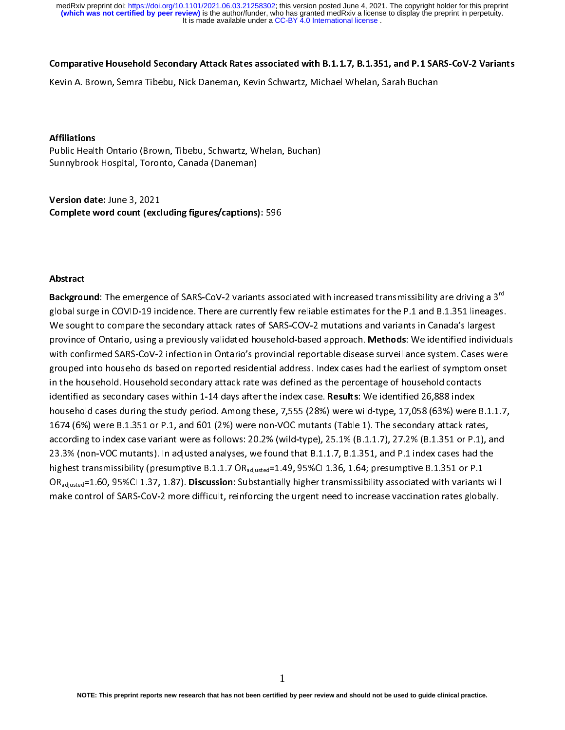It is made available under a CC-BY 4.0 International license. **(which was not certified by peer review)** is the author/funder, who has granted medRxiv a license to display the preprint in perpetuity. medRxiv preprint doi: [https://doi.org/10.1101/2021.06.03.21258302;](https://doi.org/10.1101/2021.06.03.21258302) this version posted June 4, 2021. The copyright holder for this preprint

### Comparative Household Secondary Attack Rates associated with B.1.1.7, B.1.351, and P.1 SARS-CoV-2 Variants

Kevin A. Brown, Semra Tibebu, Nick Daneman, Kevin Schwartz, Michael Whelan, Sarah Buchan<br>Affiliations<br>Public Health Ontario (Brown, Tibebu, Schwartz, Whelan, Buchan)<br>Sunnybrook Hospital, Toronto, Canada (Daneman) Affiliations<br>Public Health Ontario (Brown, Tibebu, Schwartz, Whelan, Buchan)

Public Health Ontario (Brown, Tibebu, Ontario, Thealth, Sunnybrook Hospital, Toronto, Canada (Daneman)<br>Version date: June 3, 2021<br>Complete word count (excluding figures/captions): 596 Supplied Hospital, Theory<br>Supplied Word Count (excluding figures/captions)<br>Normal Complete word count (excluding figures/captions) )<br>( Version date: June 3, 2021 Version date: Jane 3, 2021<br>Complete word count (excl<br>Abstract

## Abstract

Background: The emergence of SARS-CoV-2 variants associated with increased transmissibility are driving a 3<sup>rd</sup> Background: The emergence of SARS-CoV-2 variants associated with increased transmissibility are driving a 3<sup>rd</sup><br>global surge in COVID-19 incidence. There are currently few reliable estimates for the P.1 and B.1.351 lineage global surface in Compare the secondary attack rates of SARS-COV-2 mutations and variants in Canada's largest<br>province of Ontario, using a previously validated household-based approach. **Methods**: We identified individual<br> province of Ontario, using a previously validated household-based approach. Methods: We identified individ<br>with confirmed SARS-CoV-2 infection in Ontario's provincial reportable disease surveillance system. Cases we<br>groupe with confirmed SARS-CoV-2 infection in Ontario's provincial reportable disease surveillance system. Cases were<br>grouped into households based on reported residential address. Index cases had the earliest of symptom onset<br>in min communications and solven in contract products and the earliest of symptom onset<br>in the household. Household secondary attack rate was defined as the percentage of household contacts<br>identified as secondary cases withi in the household. Household secondary attack rate was defined as the percentage of household contacts<br>identified as secondary cases within 1-14 days after the index case. **Results**: We identified 26,888 index<br>household cas according to index case variant were as follows: 20.2% (wild-type), 25.1% (B.1.1.7), 27.2% (B.1.351 or P.1), and<br>23.3% (non-VOC mutants). In adjusted analyses, we found that B.1.1.7, B.1.351, and P.1 index cases had the<br>hi household cases during the study period. Among these, 7,555 (28%) were wild-type, 17,058 (63%) were<br>1674 (6%) were B.1.351 or P.1, and 601 (2%) were non-VOC mutants (Table 1). The secondary attack rat<br>according to index ca house B.1.351 or P.1, and 601 (2%) were non-VOC mutants (Table 1). The secondary attack rates,<br>according to index case variant were as follows: 20.2% (wild-type), 25.1% (B.1.1.7), 27.2% (B.1.351 or P.1), and<br>23.3% (non-VOC according to index case variant were as follows: 20.2% (wild-type), 25.1% (B.1.1.7), 27.2% (B.1.351 or P.1), and 2.3.3% (non-VOC mutants). In adjusted analyses, we found that B.1.1.7, B.1.351, and P.1 index cases had the h 23.3% (non-VOC mutants). In adjusted analyses, we found that B.1.1.7, B.1.351, and P.1 index cases had the highest transmissibility (presumptive B.1.1.7 OR<sub>adjusted</sub>=1.49, 95%Cl 1.36, 1.64; presumptive B.1.351 or P.1 OR<sub>a</sub> 222.2% (non-VOC mutation). In adjusted analyses, we found that Britain (Plateau), and Plateau mutation that B<br>highest transmissibility (presumptive B.1.1.7 OR<sub>adjusted</sub>=1.49, 95%Cl 1.36, 1.64; presumptive B.1.351 or P.1<br>OR oR<sub>adjusted</sub>=1.60, 95%Cl 1.37, 1.87). **Discussion**: Substantially higher transmissibility associated with variants<br>make control of SARS-CoV-2 more difficult, reinforcing the urgent need to increase vaccination rates globa<br> make control of SARS-CoV-2 more difficult, reinforcing the urgent need to increase vaccination rates globally. make control of SARS-Cover-2 more different need to increase vacanteers globally.<br>Cover-2 more difficult, reinforcing the urgent need to increase vacanteers globally.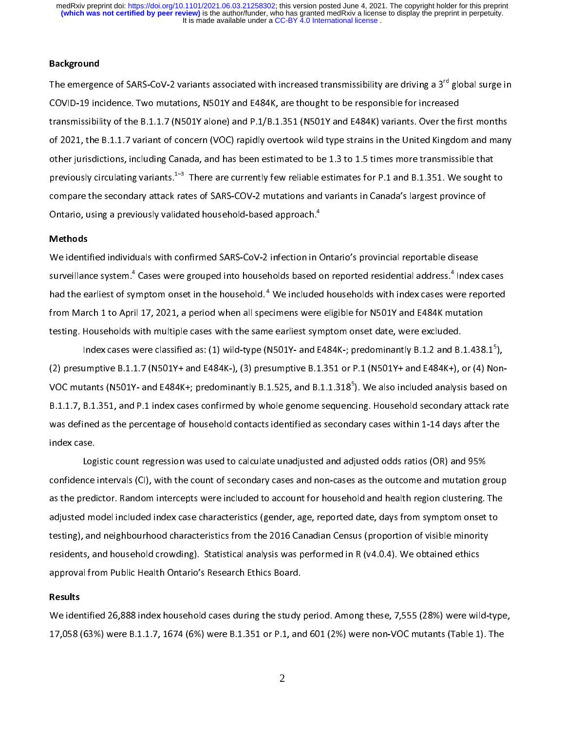It is made available under a CC-BY 4.0 International license. medRxiv preprint doi: [https://doi.org/10.1101/2021.06.03.21258302;](https://doi.org/10.1101/2021.06.03.21258302) this version posted June 4, 2021. The copyright holder for this preprint<br>(which was not certified by peer review) is the author/funder, who has granted med

### **Background**

The emergence of SARS-CoV-2 variants associated with increased transmissibility are driving a 3<sup>rd</sup> global surge in<br>COVID-19 incidence. Two mutations, N501Y and E484K, are thought to be responsible for increased<br>transmissi COVID-19 incidence. Two mutations, N501Y and E484K, are thought to be responsible for increased<br>transmissibility of the B.1.1.7 (N501Y alone) and P.1/B.1.351 (N501Y and E484K) variants. Over the first months<br>of 2021, the B of 2021, the B.1.1.7 variant of concern (VOC) rapidly overtook wild type strains in the United Kingdom and many<br>other jurisdictions, including Canada, and has been estimated to be 1.3 to 1.5 times more transmissible that<br>p other jurisdictions, including Canada, and has been estimated to be 1.3 to 1.5 times more transmissible that<br>previously circulating variants.<sup>1-3</sup> There are currently few reliable estimates for P.1 and B.1.351. We sought previously circulating variants.<sup>1-3</sup> There are currently few reliable estimates for P.1 and B.1.351. We sought to<br>compare the secondary attack rates of SARS-COV-2 mutations and variants in Canada's largest province of<br>Ont previously circulating variants.<sup>2</sup> There are currently few reliable estimates for P.1 and B.1.351. We sought to<br>compare the secondary attack rates of SARS-COV-2 mutations and variants in Canada's largest province of<br>Ontar

## Methods

Contario, using a previously validated household-based approach.<sup>4</sup><br>Methods<br>We identified individuals with confirmed SARS-CoV-2 infection in Ontario's provincial reportable disease<br>surveillance system.<sup>4</sup> Cases were groupe Ontario, using a previously validated household-based approach."<br>Methods<br>We identified individuals with confirmed SARS-CoV-2 infection in t<br>surveillance system.<sup>4</sup> Cases were grouped into households based t<br>had the earlies C<br>C<br>C Surveillance system.<sup>4</sup> Cases were grouped into households based on reported residential address.<sup>4</sup> Index<br>had the earliest of symptom onset in the household.<sup>4</sup> We included households with index cases were rep<br>from March surveillance system." Cases were grouped into households based on reported residential address." Index cases<br>had the earliest of symptom onset in the household. <sup>4</sup> We included households with index cases were reported<br>fro had the earliest of symptom onset in the household." We included households with index cases were reported<br>from March 1 to April 17, 2021, a period when all specimens were eligible for N501Y and E484K mutation<br>testing. Hou

from March 17, 2021, and B.1.1.7 (N501Y+ and E484K-), (3) presumptive B.1.1.318<sup>5</sup>). We also included analysis bases were classified as: (1) wild-type (N501Y- and E484K-; predominantly B.1.2 and B.1.438<br>(2) presumptive B.1 Index cases were classified as: (1) wild-type (N501Y- and E484K-; predominantly B.1.2 and B.<br>(2) presumptive B.1.1.7 (N501Y+ and E484K-), (3) presumptive B.1.351 or P.1 (N501Y+ and E484K+), or<br>VOC mutants (N501Y- and E484K Index cases were classified as: (1) wild-type (N501Y- and E484K-; predominantly B.1.2 and B.1.438.1"<br>umptive B.1.1.7 (N501Y+ and E484K-), (3) presumptive B.1.351 or P.1 (N501Y+ and E484K+), or (4) No<br>tants (N501Y- and E484 ,,<br>,n<br>at<br>, VOC mutants (N501Y- and E484K+; predominantly B.1.525, and B.1.1.318°). We also included analysis based on<br>B.1.1.7, B.1.351, and P.1 index cases confirmed by whole genome sequencing. Household secondary attack rate<br>was def

Logistic count regression was used to calculate unadjusted and adjusted odds ratios (OR) and 95% was defined as the percentage of household contacts identified as secondary cases within 1-14 days after the<br>index case.<br>Logistic count regression was used to calculate unadjusted and adjusted odds ratios (OR) and 95%<br>conf index case.<br>Logistic count regression was used to calculate unadjusted and adjusted odds ratios (OR) and 95%<br>confidence intervals (CI), with the count of secondary cases and non-cases as the outcome and mutation grou<br>as th log<br>Log<br>confidence<br>as the predi<br>adjusted mo Ince intervals (CI), with the count of secondary cases and non-cases as the outcome and mutation gredictor. Random intercepts were included to account for household and health region clustering.<br>If model included index cas as the predictor. Random intercepts were included to account for household and health region clustering. The<br>adjusted model included index case characteristics (gender, age, reported date, days from symptom onset to<br>testin adjusted model included index case characteristics (gender, age, reported date, days from symptom onset to testing), and neighbourhood characteristics from the 2016 Canadian Census (proportion of visible minority residents testing), and neighbourhood characteristics from the 2016 Canadian Census (proportion of visible minority residents, and household crowding). Statistical analysis was performed in R (v4.0.4). We obtained ethics approval fr testidents, and household crowding). Statistical analysis was performed in R (v4.0.4). We obtained ethics<br>approval from Public Health Ontario's Research Ethics Board.<br>Results<br>We identified 26,888 index household cases duri

### Results

resident, and household crowding). Statistical analysis was performed in R (v4.0.4). We such that same<br>approval from Public Health Ontario's Research Ethics Board.<br>We identified 26,888 index household cases during the stud Results<br>We identified 26,888 index household cases during the study<br>17,058 (63%) were B.1.1.7, 1674 (6%) were B.1.351 or P.1, and 17,058 (63%) were B.1.1.7, 1674 (6%) were B.1.351 or P.1, and 601 (2%) were non-VOC mutants (Table 1). The  $\frac{2}{\sqrt{1-x^2}}$  $17,058$  (for  $\frac{1}{2}$ ) were defined by the B.1.1.7, and 601 (2.5) were non-VOC mutations (Table 1). The  $\frac{1}{2}$ 

2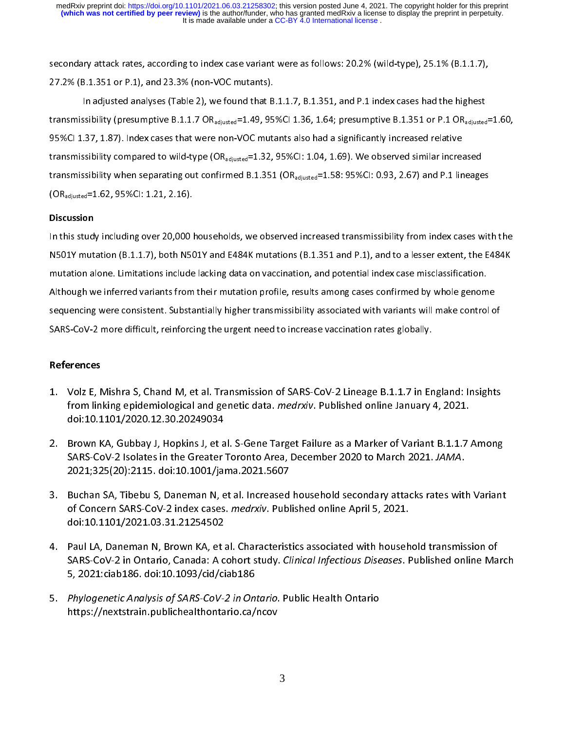It is made available under a CC-BY 4.0 International license. **(which was not certified by peer review)** is the author/funder, who has granted medRxiv a license to display the preprint in perpetuity. medRxiv preprint doi: [https://doi.org/10.1101/2021.06.03.21258302;](https://doi.org/10.1101/2021.06.03.21258302) this version posted June 4, 2021. The copyright holder for this preprint

27.2% (B.1.351 or P.1), and 23.3% (non-VOC mutants).<br>
In adjusted analyses (Table 2), we found that B.1.1.7, B.1.351, and P.1 index cases had the highest<br>
transmissibility (presumptive B.1.1.7 OR<sub>adjusted</sub>=1.49, 95%Cl 1.3 In adjusted analyses (Table 2), we found that B<br>transmissibility (presumptive B.1.1.7 OR<sub>adjusted</sub>=1.49, 95<br>95%Cl 1.37, 1.87). Index cases that were non-VOC mutatransmissibility compared to wild-type (OR<sub>adjusted</sub>=1.32, In adjusted analysis (Presumptive B.1.1.7 OR<sub>adjusted</sub> = 1.49, 95%Cl 1.36, 1.64; presumptive B.1.351 or P.1 OR<sub>adjusted</sub><br>In adjusted analysis (Table 2), 1.87). Index cases that were non-VOC mutants also had a significantl 95%CI 1.37, 1.87). Index cases that were non-VOC mutants also had a significantly increased relative<br>transmissibility compared to wild-type (OR<sub>adjusted</sub>=1.32, 95%CI: 1.04, 1.69). We observed similar increased<br>transmissib transmissibility compared to wild-type  $(OR_{adjusted}=1.32, 95\% CI: 1.04, 1.69)$ . We observed similar increatransmissibility when separating out confirmed B.1.351  $(OR_{adjusted}=1.58: 95\% CI: 0.93, 2.67)$  and P.1 lin  $(OR_{adjusted}=1.62, 95\% CI: 1.21,$ transmissibility when separating out confirmed B.1.351 (OR<sub>adjusted</sub>=1.58: 95%CI: 0.93, 2.67) and P.1 lineages<br>(OR<sub>adiusted</sub>=1.62, 95%CI: 1.21, 2.16).

# Discussion

In this study including over 20,000 households, we observed increased transmissibility from index cases with the<br>N501Y mutation (B.1.1.7), both N501Y and E484K mutations (B.1.351 and P.1), and to a lesser extent, the E484K (Conditionally controlled the superior of the study including over 20,000 P<br>1.62011 M5012 mutation (B.1.1.7), both N50<br>2.1.1.7), both N50<br>1.5211 mutation alone. Limitations include IN THE STAR, HERRAY HERRAY TO THE CONDITIONS INTO A HARD FREE THAN AND THE CONDITIONS NOT THE START WITHOUT AN<br>IN THE START WITH START MULTIMATE IN A BOUNDARY MULTIMATE TRANSMITTED TRANSMITTED TRANSMITTED TRANSMITTED AND<br>A Notation alone. Limitations include lacking data on vaccination, and potential index case misclassification.<br>Although we inferred variants from their mutation profile, results among cases confirmed by whole genome<br>sequenci Although we inferred variants from their mutation profile, results among cases confirmed by whole genome<br>sequencing were consistent. Substantially higher transmissibility associated with variants will make control o<br>SARS-C sequencing were consistent. Substantially higher transmissibility associated with variants will make control of

- 1. Volz E, Mishra S, Chand M, et al. Transmission of SARS-CoV-2 Lineage B.1.1.7 in England: Insights from linking epidemiological and genetic data. *medrxiv*. Published online January 4, 2021.<br>doi:10.1101/2020.12.30.20249034  $\frac{1}{2}$
- 1. Inc. 1. Inc. 2021, School and Superior data Amedrain. Published online January 4, 2021.<br>1. Brown KA, Gubbay J, Hopkins J, et al. S-Gene Target Failure as a Marker of Variant B.1.1.7 Among<br>1. SARS-CoV-2 Isolates in the G from linking epidemiological and genetic data. *Incural* Craptished online January 4, 2021.<br>doi:10.1101/2020.12.30.20249034<br>Brown KA, Gubbay J, Hopkins J, et al. S-Gene Target Failure as a Marker of Variant B.1.1.7<br>SARS-Co SARS-CoV-2 Isolates in the Greater Toronto Area, December 2020 to March 2021. JAMA.<br>2021;325(20):2115. doi:10.1001/jama.2021.5607
- 3. Buchan SA, Tibebu S, Daneman N, et al. Increased household secondary attacks rates with Variant of Concern SARS-CoV-2 index cases. *medrxiv*. Published online April 5, 2021.<br>doi:10.1101/2021.03.31.21254502 SARS-COV-2 Isolates in the Greater Toronto Area, December 2020 to March 2021. SAMA.<br>2021;325(20):2115. doi:10.1001/jama.2021.5607<br>Buchan SA, Tibebu S, Daneman N, et al. Increased household secondary attacks rates with<br>of C of Concern SARS-CoV-2 index cases. medrxiv. Published online April 5, 2021.
- 3. Buchan SA, Tiberal SA, Tiberal Sa, Tiberal Sa, Daniel Secondary 2013.<br>3. Buchan SA, Tiberal SA, Daneman N, Brown KA, et al. Characteristics associated with household transmission of<br>3. Buchan SARS-CoV-2 in Ontario, Cana of Concern SARS-CoV-2 index cases. *Incurant*: Published online April 5, 2021.<br>doi:10.1101/2021.03.31.21254502<br>Paul LA, Daneman N, Brown KA, et al. Characteristics associated with househ<br>SARS-CoV-2 in Ontario, Canada: A co SARS-CoV-2 in Ontario, Canada: A cohort study. Clinical Infectious Diseases. Published online March SARS-COV-2 in Ontario, Canada: A conort study. Climical Injectious Diseases. Published online March<br>5, 2021:ciab186. doi:10.1093/cid/ciab186<br>Phylogenetic Analysis of SARS-CoV-2 in Ontario. Public Health Ontario<br>https://nex
- 5, 2021:ciab186. doi:10.1093/cid/ciab186<br>Phylogenetic Analysis of SARS-CoV-2 in Ontario.<br>https://nextstrain.publichealthontario.ca/ncov 5. Phylogenetic Analysis of SARS-CoV-2 in Ontario. Public Health Ontario 5. Phylogenetic Analysis of SARS-CoV-2 in Ontario. Public Health Ontario.<br>https://nextstrain.publichealthontario.ca/ncov<br> $\frac{3}{2}$ https://nextstrain.publichealthontario.ca/ncov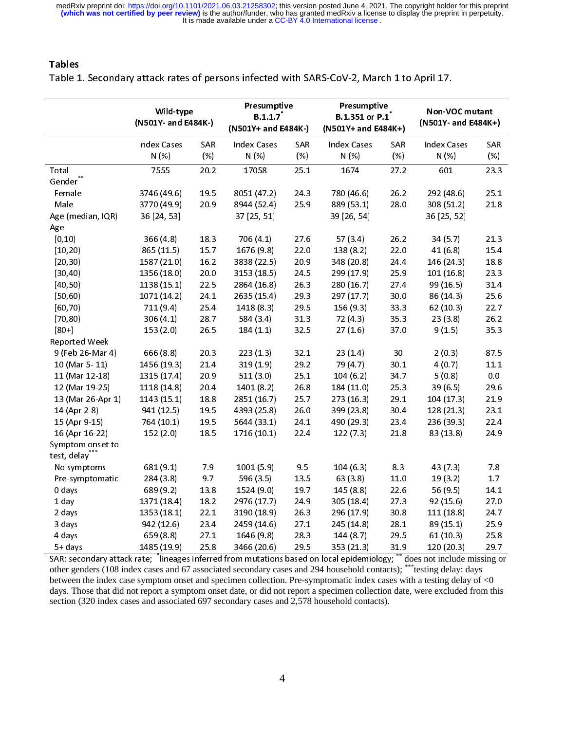It is made available under a CC-BY 4.0 International license. medRxiv preprint doi: [https://doi.org/10.1101/2021.06.03.21258302;](https://doi.org/10.1101/2021.06.03.21258302) this version posted June 4, 2021. The copyright holder for this preprint<br>(which was not certified by peer review) is the author/funder, who has granted med

Tables<br>Table 1. Secondary attack rates of persons infected with SARS-CoV-2, March 1 to April 17.

|                                                                                                                                                      | Wild-type<br>(N501Y- and E484K-) |                    | Presumptive<br>B.1.1.7<br>(N501Y+ and E484K-) |              | Presumptive<br>B.1.351 or P.1<br>(N501Y+ and E484K+) |                    | Non-VOC mutant<br>(N501Y- and E484K+) |                    |
|------------------------------------------------------------------------------------------------------------------------------------------------------|----------------------------------|--------------------|-----------------------------------------------|--------------|------------------------------------------------------|--------------------|---------------------------------------|--------------------|
|                                                                                                                                                      | <b>Index Cases</b><br>N(%)       | <b>SAR</b><br>(% ) | <b>Index Cases</b><br>N(%)                    | SAR.<br>(% ) | <b>Index Cases</b><br>N(%                            | <b>SAR</b><br>(% ) | <b>Index Cases</b><br>N(%)            | <b>SAR</b><br>(% ) |
| Total                                                                                                                                                | 7555                             | 20.2               | 17058                                         | 25.1         | 1674                                                 | 27.2               | 601                                   | 23.3               |
| Gender                                                                                                                                               |                                  |                    |                                               |              |                                                      |                    |                                       |                    |
| Female                                                                                                                                               | 3746 (49.6)                      | 195                | 8051 (47.2)                                   | 24.3         | 780 (46.6)                                           | 26.2               | 292 (48.6)                            | 251                |
| Male                                                                                                                                                 | 3770 (49.9)                      | 20.9               | 8944 (52.4)                                   | 25.9         | 889 (53.1)                                           | 28.0               | 308 (51.2)                            | 21.8               |
| Age (median, IQR)                                                                                                                                    | 36 [24, 53]                      |                    | 37 [25, 51]                                   |              | 39 [26, 54]                                          |                    | 36 [25, 52]                           |                    |
| Age                                                                                                                                                  |                                  |                    |                                               |              |                                                      |                    |                                       |                    |
| [0, 10]                                                                                                                                              | 366(4.8)                         | 18.3               | 706(4.1)                                      | 27.6         | 57(3.4)                                              | 26.2               | 34 (5.7)                              | 21.3               |
| (10, 20)                                                                                                                                             | 865 (11.5)                       | 157                | 1676 (9.8)                                    | 22.0         | 138(8.2)                                             | 22.0               | 41 (6.8)                              | 15.4               |
| [20, 30]                                                                                                                                             | 1587 (21.0)                      | 16.2               | 3838 (22.5)                                   | 20.9         | 348 (20.8)                                           | 24.4               | 146 (24.3)                            | 18.8               |
| [30, 40]                                                                                                                                             | 1356 (18.0)                      | 20.0               | 3153 (18.5)                                   | 24.5         | 299 (17.9)                                           | 25.9               | 101(16.8)                             | 23.3               |
| [40, 50]                                                                                                                                             | 1138 (15.1)                      | 22.5               | 2864 (16.8)                                   | 26.3         | 280 (16.7)                                           | 27.4               | 99 (16.5)                             | 31.4               |
| [50, 60]                                                                                                                                             | 1071 (14.2)                      | 24.1               | 2635 (15.4)                                   | 29.3         | 297 (17.7)                                           | 30.0               | 86 (14.3)                             | 25.6               |
| [60, 70)                                                                                                                                             | 711(9.4)                         | 25.4               | 1418 (8.3)                                    | 29.5         | 156 (9.3)                                            | 33.3               | 62(10.3)                              | 22.7               |
| (70, 80)                                                                                                                                             | 306(4.1)                         | 28.7               | 584 (3.4)                                     | 31.3         | 72(4.3)                                              | 35.3               | 23(3.8)                               | 26.2               |
| $[80+]$                                                                                                                                              | 153(2.0)                         | 26.5               | 184(1.1)                                      | 32.5         | 27(1.6)                                              | 37.0               | 9(1.5)                                | 35.3               |
| Reported Week                                                                                                                                        |                                  |                    |                                               |              |                                                      |                    |                                       |                    |
| 9 (Feb 26-Mar 4)                                                                                                                                     | 666 (8.8)                        | 20.3               | 223(1.3)                                      | 32.1         | 23(1.4)                                              | 30                 | 2(0.3)                                | 87.5               |
| 10 (Mar 5-11)                                                                                                                                        | 1456 (19.3)                      | 21.4               | 319(1.9)                                      | 29.2         | 79 (4.7)                                             | 30.1               | 4(0.7)                                | 11.1               |
| 11 (Mar 12-18)                                                                                                                                       | 1315 (17.4)                      | 20.9               | 511(3.0)                                      | 25.1         | 104(6.2)                                             | 34.7               | 5(0.8)                                | $0.0\,$            |
| 12 (Mar 19-25)                                                                                                                                       | 1118 (14.8)                      | 204                | 1401 (8.2)                                    | 26.8         | 184 (11.0)                                           | 25.3               | 39(6.5)                               | 29.6               |
| 13 (Mar 26-Apr 1)                                                                                                                                    | 1143 (15.1)                      | 18.8               | 2851 (16.7)                                   | 25.7         | 273 (16.3)                                           | 29.1               | 104(17.3)                             | 21.9               |
| 14 (Apr 2-8)                                                                                                                                         | 941 (12.5)                       | 19.5               | 4393 (25.8)                                   | 26.0         | 399 (23.8)                                           | 30.4               | 128 (21.3)                            | 23.1               |
| 15 (Apr 9-15)                                                                                                                                        | 764 (10.1)                       | 19.5               | 5644 (33.1)                                   | 24.1         | 490 (29.3)                                           | 23.4               | 236 (39.3)                            | 22.4               |
| 16 (Apr 16-22)                                                                                                                                       | 152(2.0)                         | 18.5               | 1716 (10.1)                                   | 22.4         | 122(7.3)                                             | 218                | 83 (13.8)                             | 24.9               |
| Symptom onset to                                                                                                                                     |                                  |                    |                                               |              |                                                      |                    |                                       |                    |
| test, delay***                                                                                                                                       |                                  |                    |                                               |              |                                                      |                    |                                       |                    |
| No symptoms                                                                                                                                          | 681 (9.1)                        | 7.9                | 1001(5.9)                                     | 9.5          | 104(6.3)                                             | 8.3                | 43 (7.3)                              | 7.8                |
| Pre-symptomatic                                                                                                                                      | 284 (3.8)                        | 9.7                | 596 (3.5)                                     | 13.5         | 63(3.8)                                              | 11.0               | 19(3.2)                               | $1.7$              |
| 0 days                                                                                                                                               | 689 (9.2)                        | 13.8               | 1524 (9.0)                                    | 19.7         | 145(8.8)                                             | 22.6               | 56 (9.5)                              | 14.1               |
| $1$ day                                                                                                                                              | 1371 (18.4)                      | 18.2               | 2976 (17.7)                                   | 24.9         | 305 (18.4)                                           | 27.3               | 92(15.6)                              | 27.0               |
| 2 days                                                                                                                                               | 1353 (18.1)                      | 22.1               | 3190 (18.9)                                   | 26.3         | 296 (17.9)                                           | 30.8               | 111(18.8)                             | 24.7               |
| 3 days                                                                                                                                               | 942 (12.6)                       | 23.4               | 2459 (14.6)                                   | 27.1         | 245 (14.8)                                           | 28.1               | 89 (15.1)                             | 25.9               |
| 4 days                                                                                                                                               | 659 (8.8)                        | 27.1               | 1646 (9.8)                                    | 28.3         | 144(8.7)                                             | 29.5               | 61(10.3)                              | 25.8               |
| 5+ days                                                                                                                                              | 1485 (19.9)                      | 25.8               | 3466 (20.6)                                   | 29.5         | 353 (21.3)                                           | 31.9               | 120(20.3)                             | 29.7               |
| $SAR$ ; secondary attack rate: $\frac{1}{2}$ lineages inferred from mutations based on local epidemiology: $\frac{1}{2}$ does not include missing or |                                  |                    |                                               |              |                                                      |                    |                                       |                    |

SAR: secondary attack rate; lineages inferred from mutations based on local epidemiology; \*\* does not include missing or<br>other genders (108 index cases and 67 associated secondary cases and 294 household contacts); \*\*\*test other genders (108 index cases and 67 associated secondary cases and 294 household contacts); \*\*\*testing delay: days between the index case symptom onset and specimen collection. Pre-symptomatic index cases with a testing delay of <0 days. Those that did not report a symptom onset date, or did not report a specimen collection date, were excluded from this section (320 index cases and associated 697 secondary cases and 2,578 household contacts).